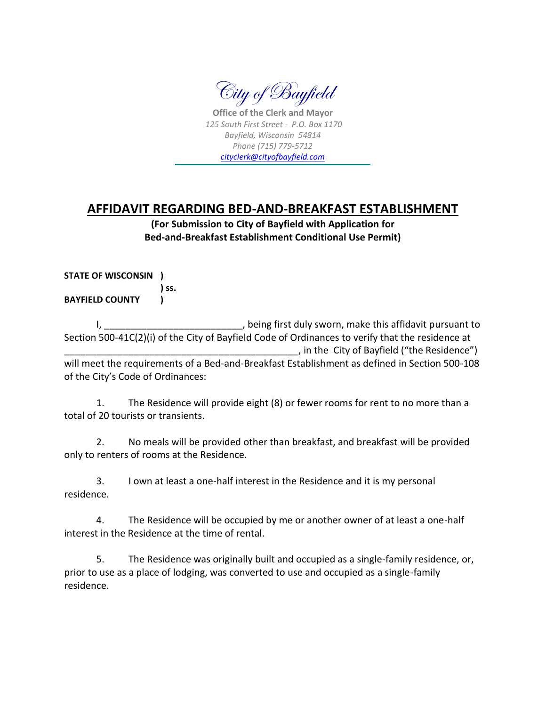

**Office of the Clerk and Mayor** *125 South First Street - P.O. Box 1170 Bayfield, Wisconsin 54814 Phone (715) 779-5712 [cityclerk@cityofbayfield.com](mailto:cityclerk@charter.net)*

## **AFFIDAVIT REGARDING BED-AND-BREAKFAST ESTABLISHMENT**

**(For Submission to City of Bayfield with Application for Bed-and-Breakfast Establishment Conditional Use Permit)**

**STATE OF WISCONSIN ) ) ss. BAYFIELD COUNTY )**

I, the contract of the contract of the contract of the contract of the contract of the contract of the contract o Section 500-41C(2)(i) of the City of Bayfield Code of Ordinances to verify that the residence at \_\_\_\_\_\_\_\_\_\_\_\_\_\_\_\_\_\_\_\_\_\_\_\_\_\_\_\_\_\_\_\_\_\_\_\_\_\_\_\_\_\_\_\_, in the City of Bayfield ("the Residence") will meet the requirements of a Bed-and-Breakfast Establishment as defined in Section 500-108 of the City's Code of Ordinances:

1. The Residence will provide eight (8) or fewer rooms for rent to no more than a total of 20 tourists or transients.

2. No meals will be provided other than breakfast, and breakfast will be provided only to renters of rooms at the Residence.

3. I own at least a one-half interest in the Residence and it is my personal residence.

4. The Residence will be occupied by me or another owner of at least a one-half interest in the Residence at the time of rental.

5. The Residence was originally built and occupied as a single-family residence, or, prior to use as a place of lodging, was converted to use and occupied as a single-family residence.